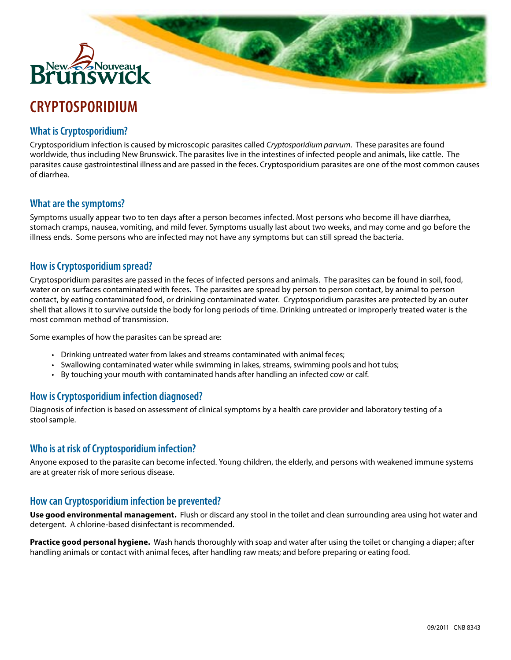

# **CRYPTOSPORIDIUM**

# **What is Cryptosporidium?**

Cryptosporidium infection is caused by microscopic parasites called *Cryptosporidium parvum*. These parasites are found worldwide, thus including New Brunswick. The parasites live in the intestines of infected people and animals, like cattle. The parasites cause gastrointestinal illness and are passed in the feces. Cryptosporidium parasites are one of the most common causes of diarrhea.

**Bar** 

### **What are the symptoms?**

Symptoms usually appear two to ten days after a person becomes infected. Most persons who become ill have diarrhea, stomach cramps, nausea, vomiting, and mild fever. Symptoms usually last about two weeks, and may come and go before the illness ends. Some persons who are infected may not have any symptoms but can still spread the bacteria.

#### **How is Cryptosporidium spread?**

Cryptosporidium parasites are passed in the feces of infected persons and animals. The parasites can be found in soil, food, water or on surfaces contaminated with feces. The parasites are spread by person to person contact, by animal to person contact, by eating contaminated food, or drinking contaminated water. Cryptosporidium parasites are protected by an outer shell that allows it to survive outside the body for long periods of time. Drinking untreated or improperly treated water is the most common method of transmission.

Some examples of how the parasites can be spread are:

- • Drinking untreated water from lakes and streams contaminated with animal feces;
- Swallowing contaminated water while swimming in lakes, streams, swimming pools and hot tubs;
- • By touching your mouth with contaminated hands after handling an infected cow or calf.

### **How is Cryptosporidium infection diagnosed?**

Diagnosis of infection is based on assessment of clinical symptoms by a health care provider and laboratory testing of a stool sample.

### **Who is at risk of Cryptosporidium infection?**

Anyone exposed to the parasite can become infected. Young children, the elderly, and persons with weakened immune systems are at greater risk of more serious disease.

### **How can Cryptosporidium infection be prevented?**

**Use good environmental management.** Flush or discard any stool in the toilet and clean surrounding area using hot water and detergent. A chlorine-based disinfectant is recommended.

**Practice good personal hygiene.** Wash hands thoroughly with soap and water after using the toilet or changing a diaper; after handling animals or contact with animal feces, after handling raw meats; and before preparing or eating food.